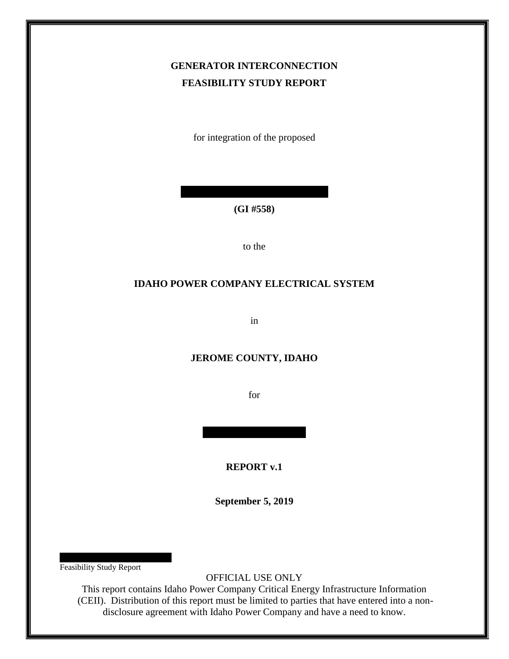# **GENERATOR INTERCONNECTION FEASIBILITY STUDY REPORT**

for integration of the proposed

**(GI #558)**

to the

#### **IDAHO POWER COMPANY ELECTRICAL SYSTEM**

in

### **JEROME COUNTY, IDAHO**

for

**REPORT v.1**

**September 5, 2019**

Feasibility Study Report

OFFICIAL USE ONLY

This report contains Idaho Power Company Critical Energy Infrastructure Information (CEII). Distribution of this report must be limited to parties that have entered into a nondisclosure agreement with Idaho Power Company and have a need to know.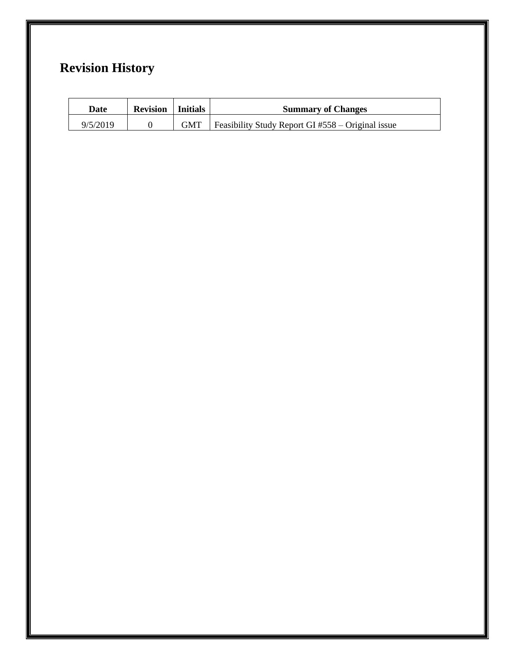# **Revision History**

| Date     | <b>Revision</b>   Initials | <b>Summary of Changes</b>                                 |
|----------|----------------------------|-----------------------------------------------------------|
| 9/5/2019 |                            | $GMT$   Feasibility Study Report GI #558 – Original issue |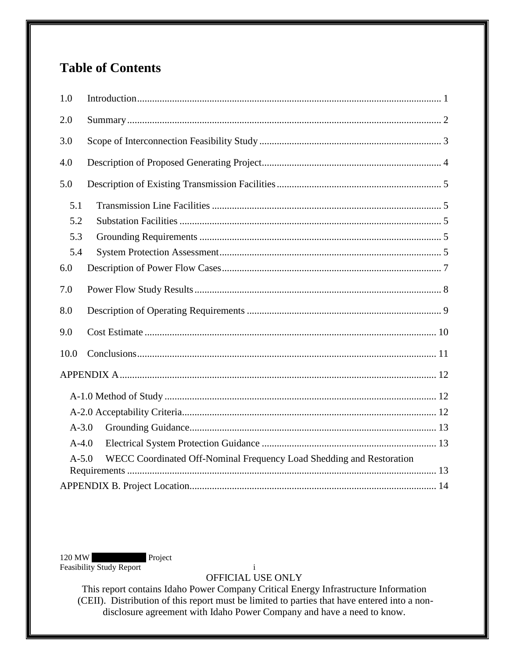# **Table of Contents**

| 1.0                                                                               |  |  |  |  |
|-----------------------------------------------------------------------------------|--|--|--|--|
| 2.0                                                                               |  |  |  |  |
| 3.0                                                                               |  |  |  |  |
| 4.0                                                                               |  |  |  |  |
| 5.0                                                                               |  |  |  |  |
| 5.1                                                                               |  |  |  |  |
| 5.2                                                                               |  |  |  |  |
| 5.3                                                                               |  |  |  |  |
| 5.4                                                                               |  |  |  |  |
| 6.0                                                                               |  |  |  |  |
| 7.0                                                                               |  |  |  |  |
| 8.0                                                                               |  |  |  |  |
| 9.0                                                                               |  |  |  |  |
| 10.0                                                                              |  |  |  |  |
|                                                                                   |  |  |  |  |
|                                                                                   |  |  |  |  |
|                                                                                   |  |  |  |  |
| $A - 3.0$                                                                         |  |  |  |  |
| $A-4.0$                                                                           |  |  |  |  |
| $A - 5.0$<br>WECC Coordinated Off-Nominal Frequency Load Shedding and Restoration |  |  |  |  |
|                                                                                   |  |  |  |  |

120 MW Project Feasibility Study Report

 $\mathbf{i}$ OFFICIAL USE ONLY

This report contains Idaho Power Company Critical Energy Infrastructure Information (CEII). Distribution of this report must be limited to parties that have entered into a nondisclosure agreement with Idaho Power Company and have a need to know.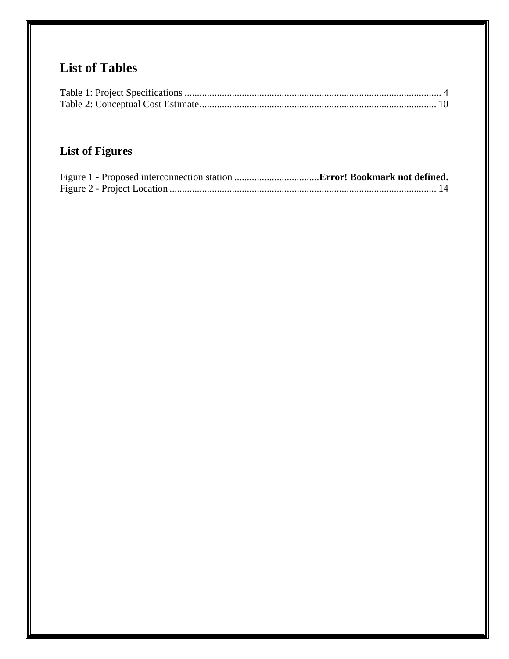# **List of Tables**

# **List of Figures**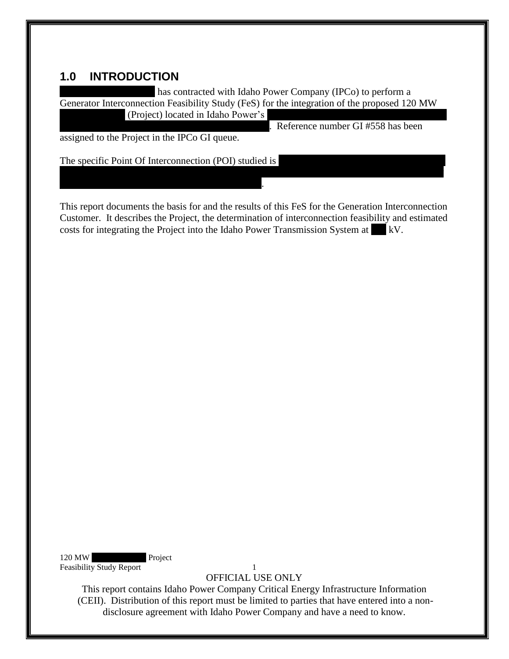## <span id="page-4-0"></span>**1.0 INTRODUCTION**

has contracted with Idaho Power Company (IPCo) to perform a Generator Interconnection Feasibility Study (FeS) for the integration of the proposed 120 MW

(Project) located in Idaho Power's

. Reference number GI #558 has been

assigned to the Project in the IPCo GI queue.

The specific Point Of Interconnection (POI) studied is

 $3.5$  miles south of the Hunt Substation 138 kV bus.

This report documents the basis for and the results of this FeS for the Generation Interconnection Customer. It describes the Project, the determination of interconnection feasibility and estimated costs for integrating the Project into the Idaho Power Transmission System at  $\vert kV$ .

the Project into the existing IPCo owned 138 kV Hunt-Milner Transmission Line approximately

120 MW Project Feasibility Study Report 1

OFFICIAL USE ONLY

This report contains Idaho Power Company Critical Energy Infrastructure Information (CEII). Distribution of this report must be limited to parties that have entered into a nondisclosure agreement with Idaho Power Company and have a need to know.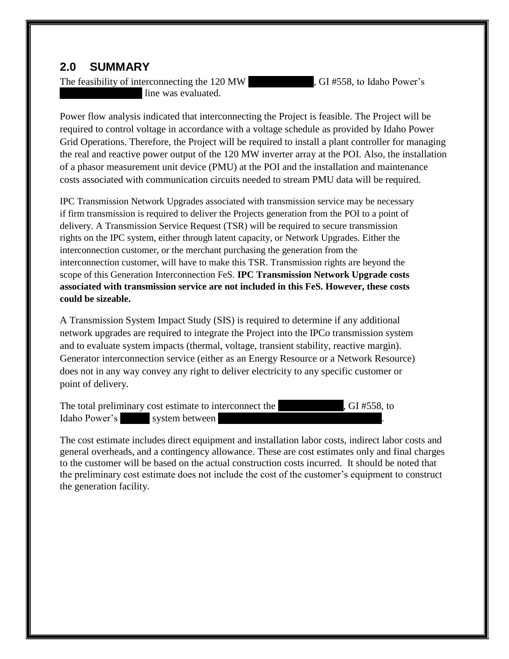## <span id="page-5-0"></span>**2.0 SUMMARY**

The feasibility of interconnecting the 120 MW ARH Solar Solar Power's line was evaluated.

Power flow analysis indicated that interconnecting the Project is feasible. The Project will be required to control voltage in accordance with a voltage schedule as provided by Idaho Power Grid Operations. Therefore, the Project will be required to install a plant controller for managing the real and reactive power output of the 120 MW inverter array at the POI. Also, the installation of a phasor measurement unit device (PMU) at the POI and the installation and maintenance costs associated with communication circuits needed to stream PMU data will be required.

IPC Transmission Network Upgrades associated with transmission service may be necessary if firm transmission is required to deliver the Projects generation from the POI to a point of delivery. A Transmission Service Request (TSR) will be required to secure transmission rights on the IPC system, either through latent capacity, or Network Upgrades. Either the interconnection customer, or the merchant purchasing the generation from the interconnection customer, will have to make this TSR. Transmission rights are beyond the scope of this Generation Interconnection FeS. **IPC Transmission Network Upgrade costs associated with transmission service are not included in this FeS. However, these costs could be sizeable.** 

A Transmission System Impact Study (SIS) is required to determine if any additional network upgrades are required to integrate the Project into the IPCo transmission system and to evaluate system impacts (thermal, voltage, transient stability, reactive margin). Generator interconnection service (either as an Energy Resource or a Network Resource) does not in any way convey any right to deliver electricity to any specific customer or point of delivery.

| The total preliminary cost estimate to interconnect the |                | , GI #558, to |  |
|---------------------------------------------------------|----------------|---------------|--|
| Idaho Power's                                           | system between |               |  |

The cost estimate includes direct equipment and installation labor costs, indirect labor costs and general overheads, and a contingency allowance. These are cost estimates only and final charges to the customer will be based on the actual construction costs incurred. It should be noted that the preliminary cost estimate does not include the cost of the customer's equipment to construct the generation facility.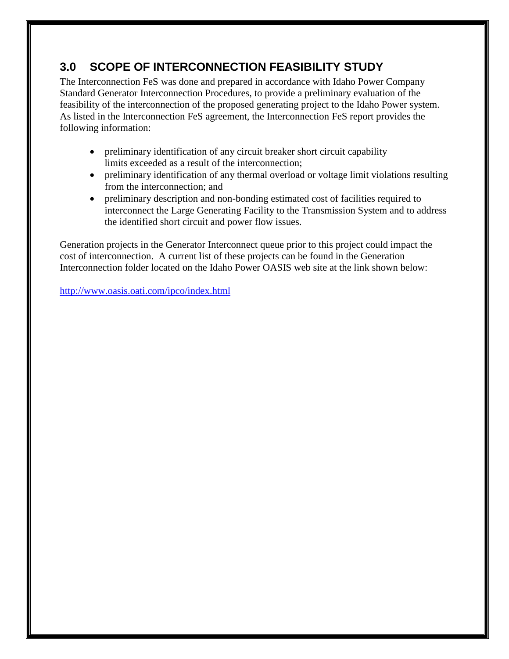# <span id="page-6-0"></span>**3.0 SCOPE OF INTERCONNECTION FEASIBILITY STUDY**

The Interconnection FeS was done and prepared in accordance with Idaho Power Company Standard Generator Interconnection Procedures, to provide a preliminary evaluation of the feasibility of the interconnection of the proposed generating project to the Idaho Power system. As listed in the Interconnection FeS agreement, the Interconnection FeS report provides the following information:

- preliminary identification of any circuit breaker short circuit capability limits exceeded as a result of the interconnection;
- preliminary identification of any thermal overload or voltage limit violations resulting from the interconnection; and
- preliminary description and non-bonding estimated cost of facilities required to interconnect the Large Generating Facility to the Transmission System and to address the identified short circuit and power flow issues.

Generation projects in the Generator Interconnect queue prior to this project could impact the cost of interconnection.A current list of these projects can be found in the Generation Interconnection folder located on the Idaho Power OASIS web site at the link shown below:

<http://www.oasis.oati.com/ipco/index.html>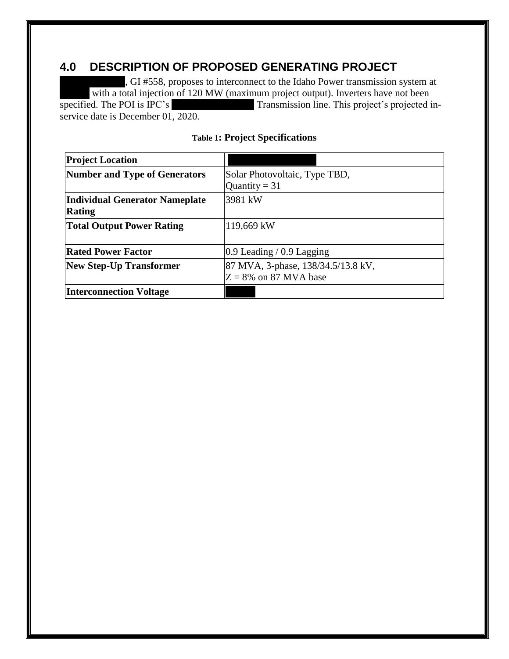## <span id="page-7-0"></span>**4.0 DESCRIPTION OF PROPOSED GENERATING PROJECT**

, GI #558, proposes to interconnect to the Idaho Power transmission system at with a total injection of 120 MW (maximum project output). Inverters have not been<br>specified. The POI is IPC's<br>Transmission line. This project's projected Transmission line. This project's projected inservice date is December 01, 2020.

<span id="page-7-1"></span>

| <b>Project Location</b>               |                                    |
|---------------------------------------|------------------------------------|
| <b>Number and Type of Generators</b>  | Solar Photovoltaic, Type TBD,      |
|                                       | Quantity = $31$                    |
| <b>Individual Generator Nameplate</b> | 3981 kW                            |
| <b>Rating</b>                         |                                    |
| <b>Total Output Power Rating</b>      | 119,669 kW                         |
|                                       |                                    |
| <b>Rated Power Factor</b>             | $0.9$ Leading / 0.9 Lagging        |
| <b>New Step-Up Transformer</b>        | 87 MVA, 3-phase, 138/34.5/13.8 kV, |
|                                       | $Z = 8\%$ on 87 MVA base           |
| <b>Interconnection Voltage</b>        |                                    |

### **Table 1: Project Specifications**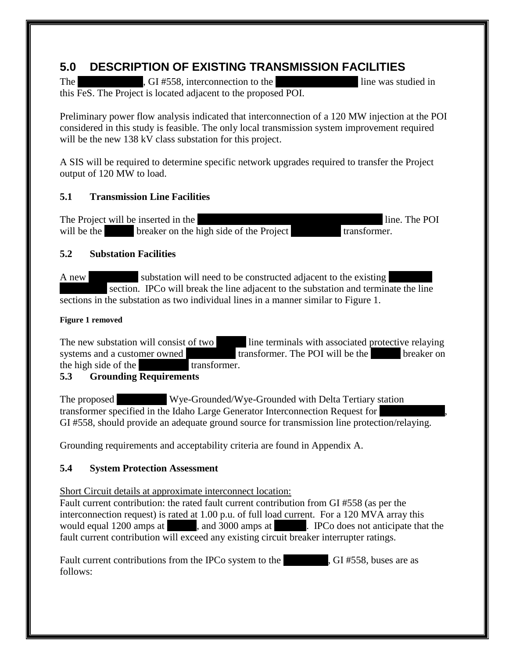# <span id="page-8-0"></span>**5.0 DESCRIPTION OF EXISTING TRANSMISSION FACILITIES**

The ARH SOLAR SOLAR SOLAR SOLAR PARK, GI #558, interconnection to the Hunt-Milner was studied in this FeS. The Project is located adjacent to the proposed POI.

Preliminary power flow analysis indicated that interconnection of a 120 MW injection at the POI considered in this study is feasible. The only local transmission system improvement required will be the new 138 kV class substation for this project.

A SIS will be required to determine specific network upgrades required to transfer the Project output of 120 MW to load.

## <span id="page-8-1"></span>**5.1 Transmission Line Facilities**

The Project will be inserted in the Hunt-Milner section of the Hunt-Milner 138 kV line. The POI will be the 138 kV breaker on the high side of the Project 138.5 kV transformer.

## <span id="page-8-2"></span>**5.2 Substation Facilities**

A new substation will need to be constructed adjacent to the existing section. IPCo will break the line adjacent to the substation and terminate the line sections in the substation as two individual lines in a manner similar to Figure 1.

## **Figure 1 removed**

The new substation will consist of two 138 line terminals with associated protective relaying systems and a customer owned transformer. The POI will be the 138 breaker on the high side of the 138 kV transformer. the high side of the

## <span id="page-8-3"></span>**5.3 Grounding Requirements**

The proposed Wye-Grounded/Wye-Grounded with Delta Tertiary station transformer specified in the Idaho Large Generator Interconnection Request for GI #558, should provide an adequate ground source for transmission line protection/relaying.

Grounding requirements and acceptability criteria are found in Appendix A.

## <span id="page-8-4"></span>**5.4 System Protection Assessment**

Short Circuit details at approximate interconnect location:

Fault current contribution: the rated fault current contribution from GI #558 (as per the interconnection request) is rated at 1.00 p.u. of full load current. For a 120 MVA array this would equal 1200 amps at 138 kV, and 3000 amps at 13.5 kV. IPCo does not anticipate that the fault current contribution will exceed any existing circuit breaker interrupter ratings.

| Fault current contributions from the IPCo system to the | , GI #558, buses are as |
|---------------------------------------------------------|-------------------------|
| follows:                                                |                         |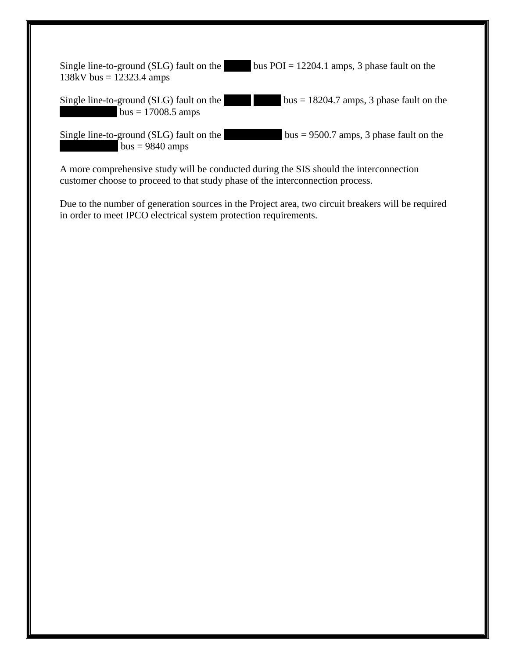| Single line-to-ground (SLG) fault on the | bus $POI = 12204.1$ amps, 3 phase fault on the |
|------------------------------------------|------------------------------------------------|
| 138kV bus = $12323.4$ amps               |                                                |

Single line-to-ground (SLG) fault on the  $\vert$  bus = 18204.7 amps, 3 phase fault on the  $\bar{b}$  bus = 17008.5 amps

Single line-to-ground (SLG) fault on the  $138 \text{ N} = 9500.7$  amps, 3 phase fault on the  $bus = 9840$  amps

A more comprehensive study will be conducted during the SIS should the interconnection customer choose to proceed to that study phase of the interconnection process.

<span id="page-9-0"></span>Due to the number of generation sources in the Project area, two circuit breakers will be required in order to meet IPCO electrical system protection requirements.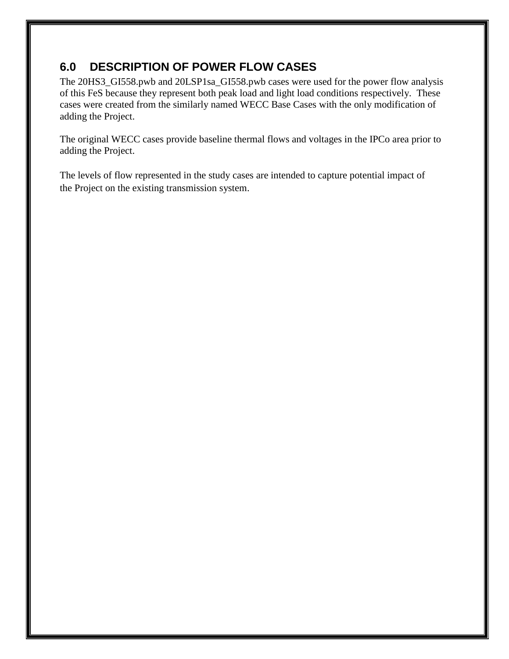# **6.0 DESCRIPTION OF POWER FLOW CASES**

The 20HS3\_GI558.pwb and 20LSP1sa\_GI558.pwb cases were used for the power flow analysis of this FeS because they represent both peak load and light load conditions respectively. These cases were created from the similarly named WECC Base Cases with the only modification of adding the Project.

The original WECC cases provide baseline thermal flows and voltages in the IPCo area prior to adding the Project.

The levels of flow represented in the study cases are intended to capture potential impact of the Project on the existing transmission system.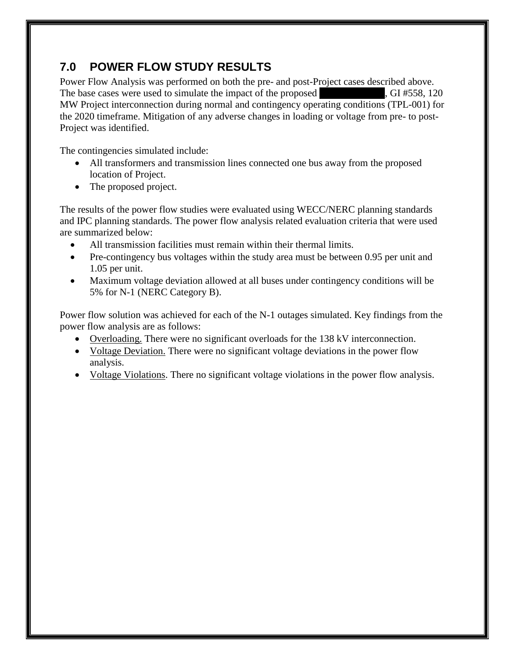# <span id="page-11-0"></span>**7.0 POWER FLOW STUDY RESULTS**

Power Flow Analysis was performed on both the pre- and post-Project cases described above. The base cases were used to simulate the impact of the proposed ARG Solar Park, GI #558, 120 MW Project interconnection during normal and contingency operating conditions (TPL-001) for the 2020 timeframe. Mitigation of any adverse changes in loading or voltage from pre- to post-Project was identified.

The contingencies simulated include:

- All transformers and transmission lines connected one bus away from the proposed location of Project.
- The proposed project.

The results of the power flow studies were evaluated using WECC/NERC planning standards and IPC planning standards. The power flow analysis related evaluation criteria that were used are summarized below:

- All transmission facilities must remain within their thermal limits.
- Pre-contingency bus voltages within the study area must be between 0.95 per unit and 1.05 per unit.
- Maximum voltage deviation allowed at all buses under contingency conditions will be 5% for N-1 (NERC Category B).

Power flow solution was achieved for each of the N-1 outages simulated. Key findings from the power flow analysis are as follows:

- Overloading. There were no significant overloads for the 138 kV interconnection.
- Voltage Deviation. There were no significant voltage deviations in the power flow analysis.
- Voltage Violations. There no significant voltage violations in the power flow analysis.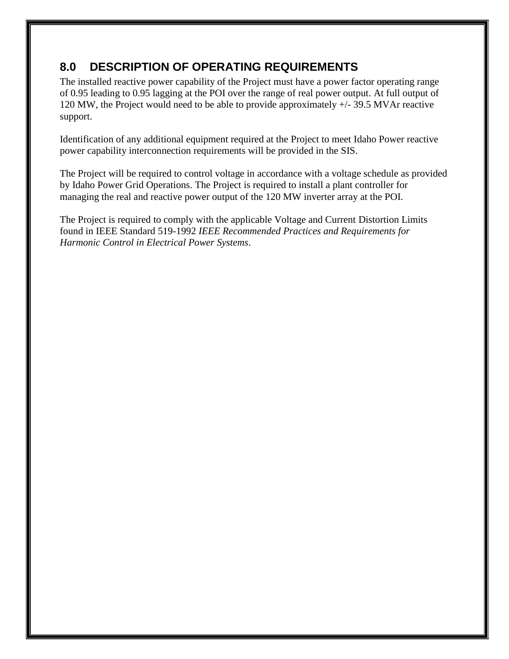# <span id="page-12-0"></span>**8.0 DESCRIPTION OF OPERATING REQUIREMENTS**

The installed reactive power capability of the Project must have a power factor operating range of 0.95 leading to 0.95 lagging at the POI over the range of real power output. At full output of 120 MW, the Project would need to be able to provide approximately +/- 39.5 MVAr reactive support.

Identification of any additional equipment required at the Project to meet Idaho Power reactive power capability interconnection requirements will be provided in the SIS.

The Project will be required to control voltage in accordance with a voltage schedule as provided by Idaho Power Grid Operations. The Project is required to install a plant controller for managing the real and reactive power output of the 120 MW inverter array at the POI.

The Project is required to comply with the applicable Voltage and Current Distortion Limits found in IEEE Standard 519-1992 *IEEE Recommended Practices and Requirements for Harmonic Control in Electrical Power Systems*.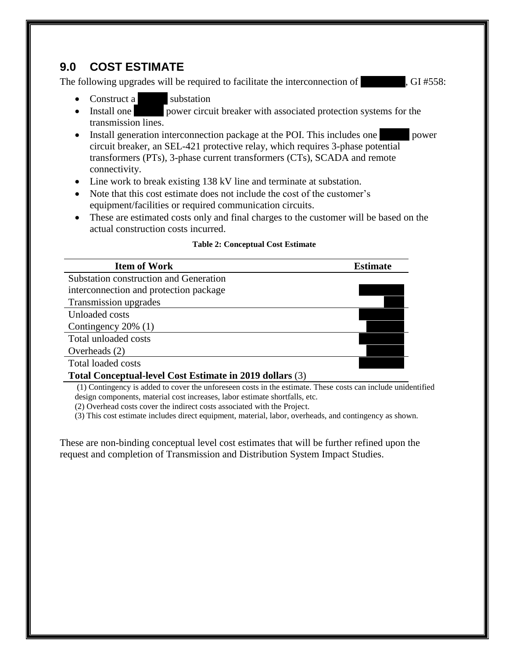## <span id="page-13-0"></span>**9.0 COST ESTIMATE**

The following upgrades will be required to facilitate the interconnection of  $\qquad \qquad$ , GI #558:

- Construct a substation<br>• Install one power circu
- power circuit breaker with associated protection systems for the transmission lines.
- Install generation interconnection package at the POI. This includes one 138 power circuit breaker, an SEL-421 protective relay, which requires 3-phase potential transformers (PTs), 3-phase current transformers (CTs), SCADA and remote connectivity.
- Line work to break existing 138 kV line and terminate at substation.
- Note that this cost estimate does not include the cost of the customer's equipment/facilities or required communication circuits.
- These are estimated costs only and final charges to the customer will be based on the actual construction costs incurred.

#### **Table 2: Conceptual Cost Estimate**

<span id="page-13-1"></span>

(1) Contingency is added to cover the unforeseen costs in the estimate. These costs can include unidentified design components, material cost increases, labor estimate shortfalls, etc.

(2) Overhead costs cover the indirect costs associated with the Project.

(3) This cost estimate includes direct equipment, material, labor, overheads, and contingency as shown.

These are non-binding conceptual level cost estimates that will be further refined upon the request and completion of Transmission and Distribution System Impact Studies.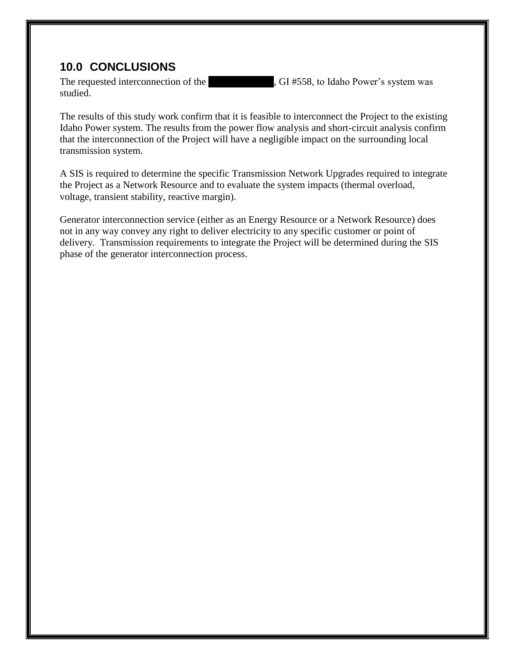## <span id="page-14-0"></span>**10.0 CONCLUSIONS**

studied.

The requested interconnection of the ARH Solar Park, GI #558, to Idaho Power's system was

The results of this study work confirm that it is feasible to interconnect the Project to the existing Idaho Power system. The results from the power flow analysis and short-circuit analysis confirm that the interconnection of the Project will have a negligible impact on the surrounding local transmission system.

A SIS is required to determine the specific Transmission Network Upgrades required to integrate the Project as a Network Resource and to evaluate the system impacts (thermal overload, voltage, transient stability, reactive margin).

Generator interconnection service (either as an Energy Resource or a Network Resource) does not in any way convey any right to deliver electricity to any specific customer or point of delivery. Transmission requirements to integrate the Project will be determined during the SIS phase of the generator interconnection process.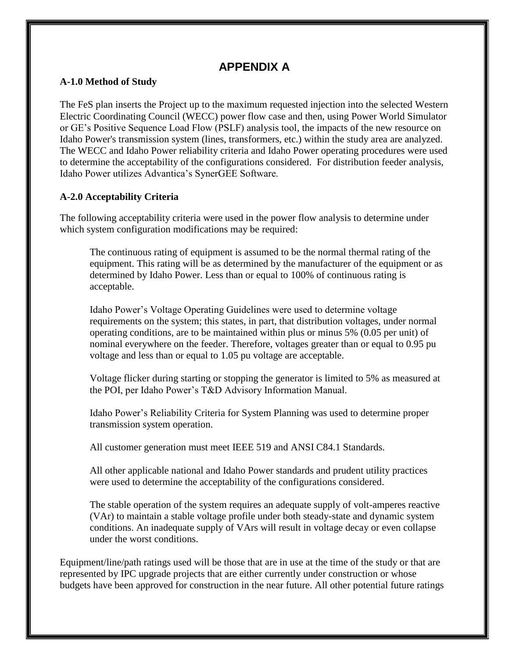## **APPENDIX A**

#### <span id="page-15-1"></span><span id="page-15-0"></span>**A-1.0 Method of Study**

The FeS plan inserts the Project up to the maximum requested injection into the selected Western Electric Coordinating Council (WECC) power flow case and then, using Power World Simulator or GE's Positive Sequence Load Flow (PSLF) analysis tool, the impacts of the new resource on Idaho Power's transmission system (lines, transformers, etc.) within the study area are analyzed. The WECC and Idaho Power reliability criteria and Idaho Power operating procedures were used to determine the acceptability of the configurations considered. For distribution feeder analysis, Idaho Power utilizes Advantica's SynerGEE Software.

### <span id="page-15-2"></span>**A-2.0 Acceptability Criteria**

The following acceptability criteria were used in the power flow analysis to determine under which system configuration modifications may be required:

The continuous rating of equipment is assumed to be the normal thermal rating of the equipment. This rating will be as determined by the manufacturer of the equipment or as determined by Idaho Power. Less than or equal to 100% of continuous rating is acceptable.

Idaho Power's Voltage Operating Guidelines were used to determine voltage requirements on the system; this states, in part, that distribution voltages, under normal operating conditions, are to be maintained within plus or minus 5% (0.05 per unit) of nominal everywhere on the feeder. Therefore, voltages greater than or equal to 0.95 pu voltage and less than or equal to 1.05 pu voltage are acceptable.

Voltage flicker during starting or stopping the generator is limited to 5% as measured at the POI, per Idaho Power's T&D Advisory Information Manual.

Idaho Power's Reliability Criteria for System Planning was used to determine proper transmission system operation.

All customer generation must meet IEEE 519 and ANSI C84.1 Standards.

All other applicable national and Idaho Power standards and prudent utility practices were used to determine the acceptability of the configurations considered.

The stable operation of the system requires an adequate supply of volt-amperes reactive (VAr) to maintain a stable voltage profile under both steady-state and dynamic system conditions. An inadequate supply of VArs will result in voltage decay or even collapse under the worst conditions.

Equipment/line/path ratings used will be those that are in use at the time of the study or that are represented by IPC upgrade projects that are either currently under construction or whose budgets have been approved for construction in the near future. All other potential future ratings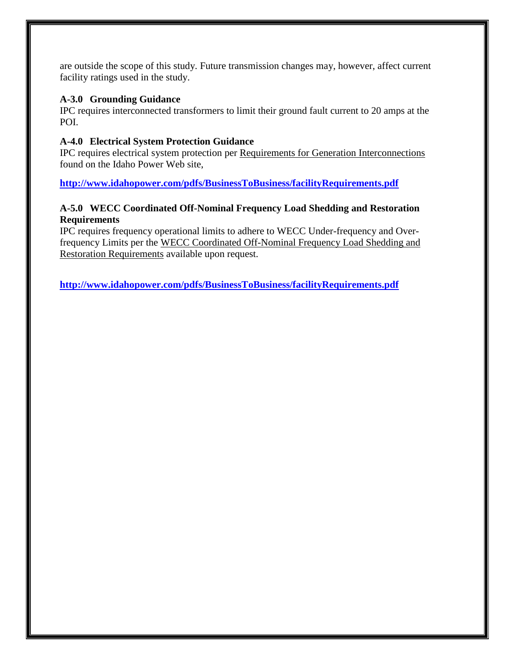are outside the scope of this study. Future transmission changes may, however, affect current facility ratings used in the study.

#### <span id="page-16-0"></span>**A-3.0 Grounding Guidance**

IPC requires interconnected transformers to limit their ground fault current to 20 amps at the POI.

### <span id="page-16-1"></span>**A-4.0 Electrical System Protection Guidance**

IPC requires electrical system protection per Requirements for Generation Interconnections found on the Idaho Power Web site,

**<http://www.idahopower.com/pdfs/BusinessToBusiness/facilityRequirements.pdf>**

### <span id="page-16-2"></span>**A-5.0 WECC Coordinated Off-Nominal Frequency Load Shedding and Restoration Requirements**

IPC requires frequency operational limits to adhere to WECC Under-frequency and Overfrequency Limits per the WECC Coordinated Off-Nominal Frequency Load Shedding and Restoration Requirements available upon request.

**<http://www.idahopower.com/pdfs/BusinessToBusiness/facilityRequirements.pdf>**